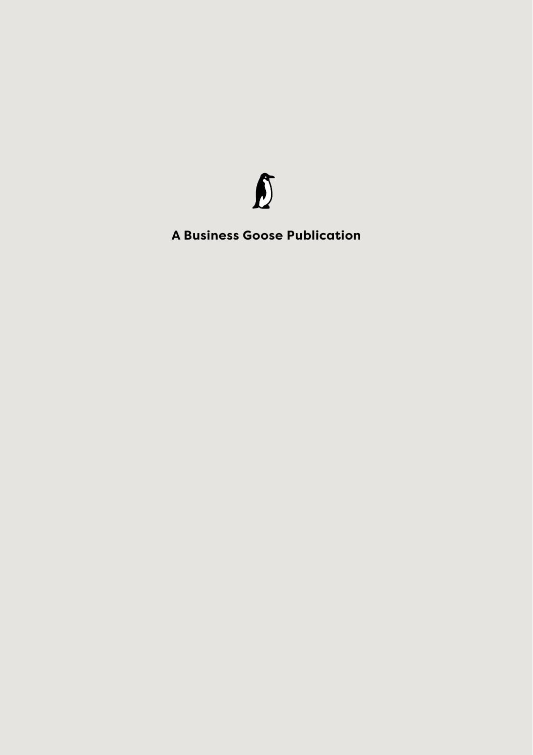

**A Business Goose Publication**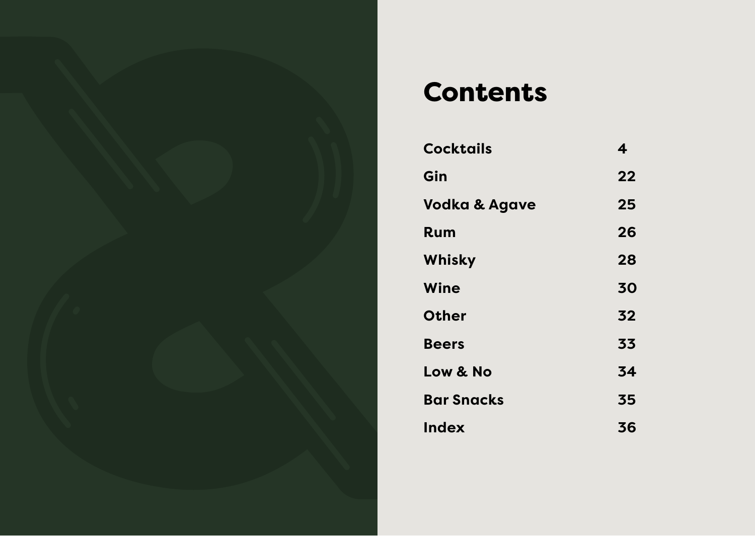

## Contents

| <b>Cocktails</b>         | 4  |
|--------------------------|----|
| Gin                      | 22 |
| <b>Vodka &amp; Agave</b> | 25 |
| Rum                      | 26 |
| Whisky                   | 28 |
| Wine                     | 30 |
| <b>Other</b>             | 32 |
| <b>Beers</b>             | 33 |
| Low & No                 | 34 |
| <b>Bar Snacks</b>        | 35 |
| Index                    | 36 |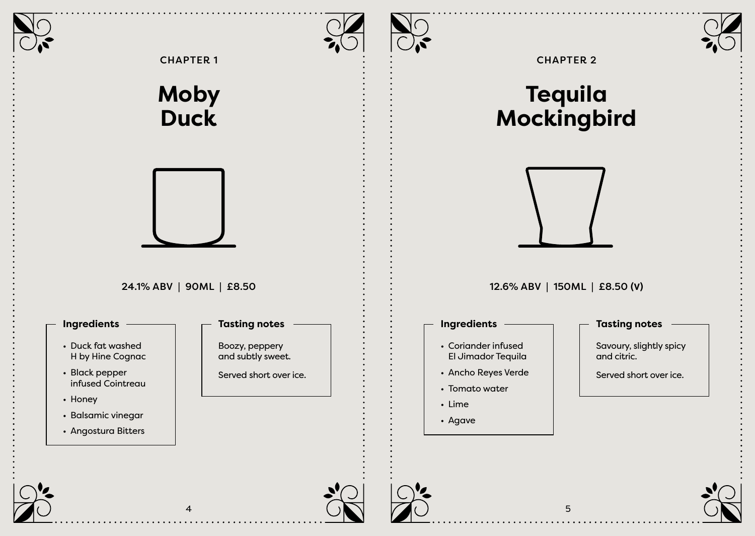





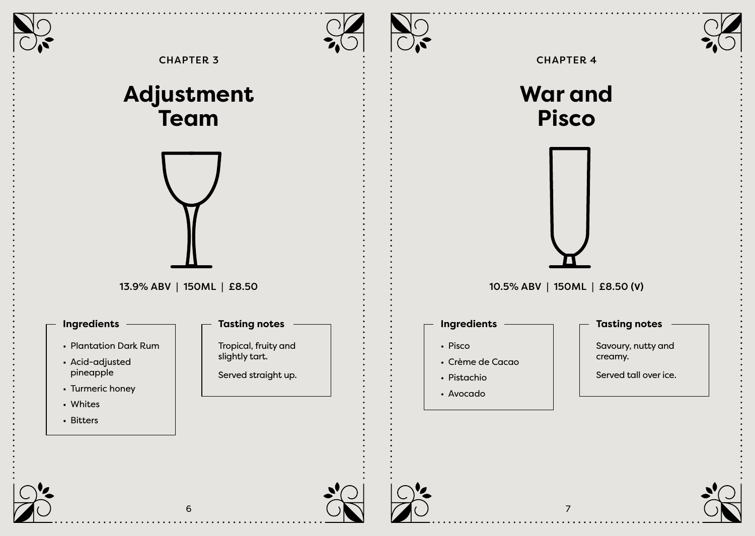







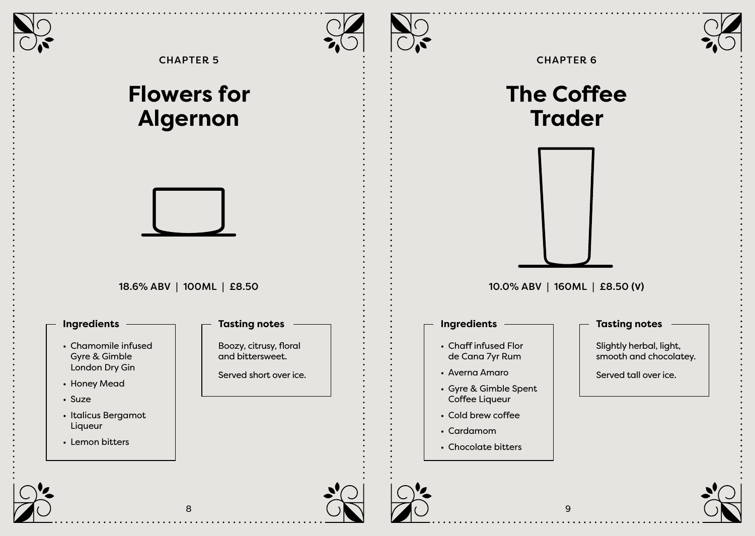





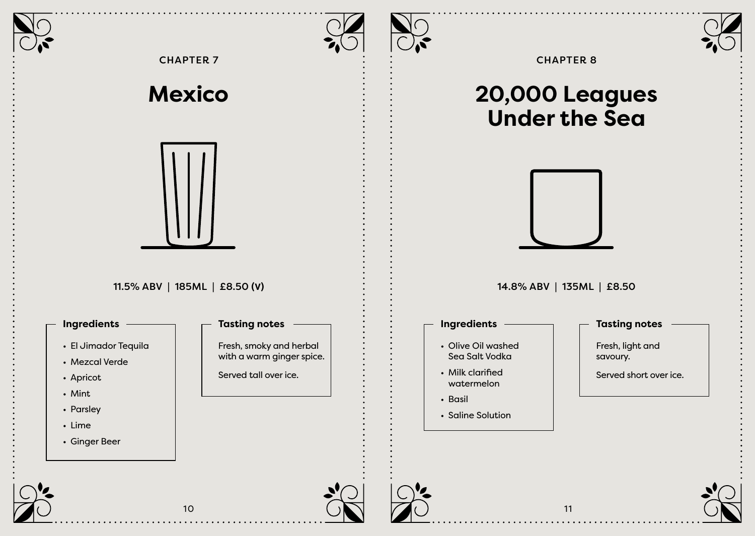



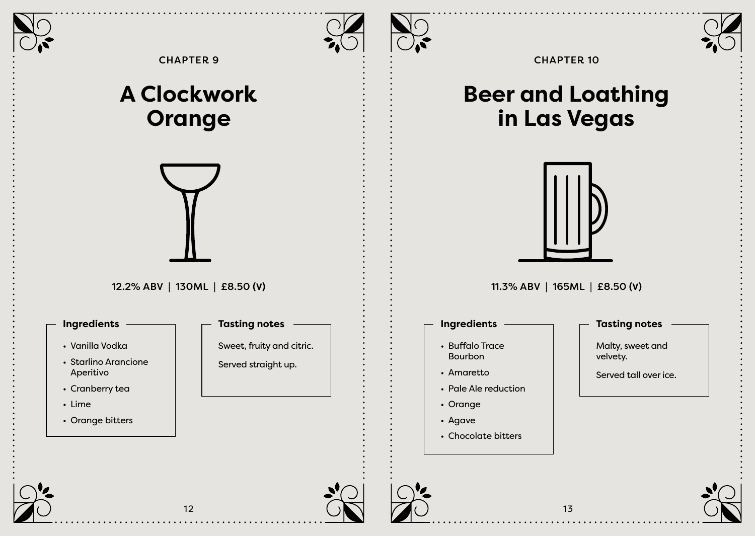

CHAPTER 9

## **A Clockwork Orange**



## 12.2% ABV | 130ML | £8.50 **(V)**

- Vanilla Vodka
- Starlino Arancione Aperitivo
- Cranberry tea
- Lime
- Orange bitters



## CHAPTER 10

## **Beer and Loathing in Las Vegas**



11.3% ABV | 165ML | £8.50 **(V)**

## **Ingredients Tasting notes**

- Buffalo Trace Bourbon
- Amaretto
- Pale Ale reduction
- Orange
- Agave
- Chocolate bitters

Malty, sweet and velvety.

Served tall over ice.







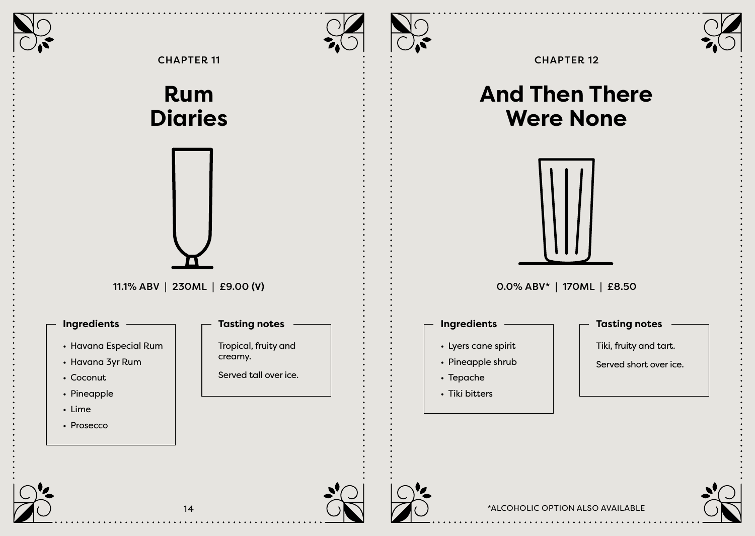

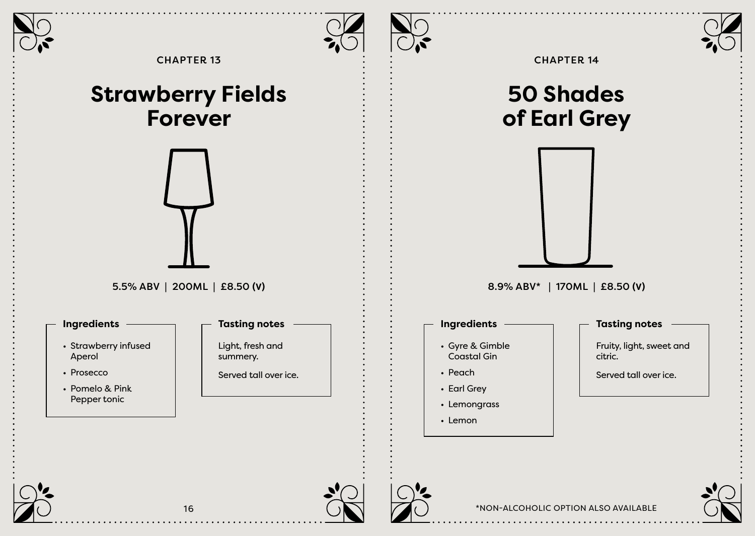



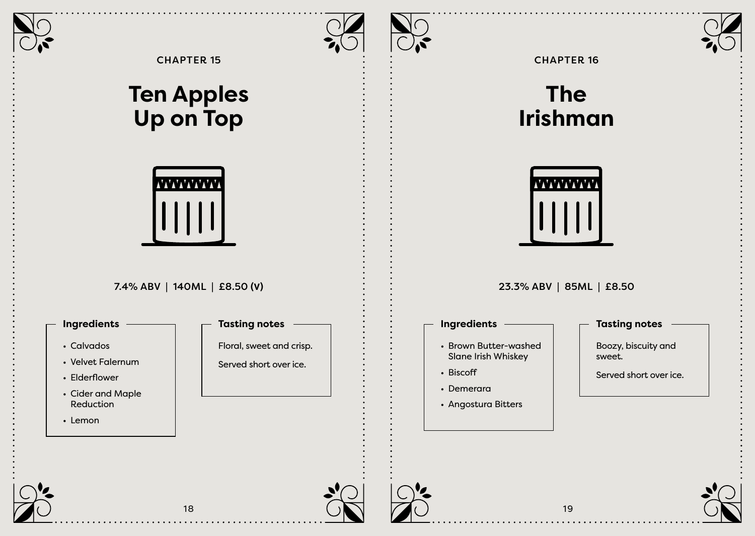



CHAPTER 15

## **Ten Apples Up on Top**



## 7.4% ABV | 140ML | £8.50 **(V)**

## **Ingredients Tasting notes**

- Calvados
- Velvet Falernum
- Elderflower
- Cider and Maple Reduction
- Lemon



Served short over ice.

## CHAPTER 16

## **The Irishman**



23.3% ABV | 85ML | £8.50

## **Ingredients Tasting notes**

- Brown Butter-washed Slane Irish Whiskey
- Biscoff
- Demerara
- Angostura Bitters

Boozy, biscuity and sweet.

Served short over ice.









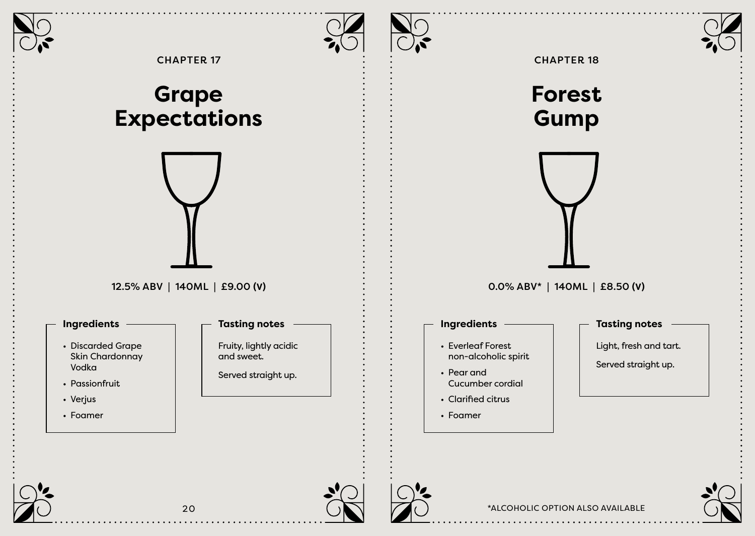



\*ALCOHOLIC OPTION ALSO AVAILABLE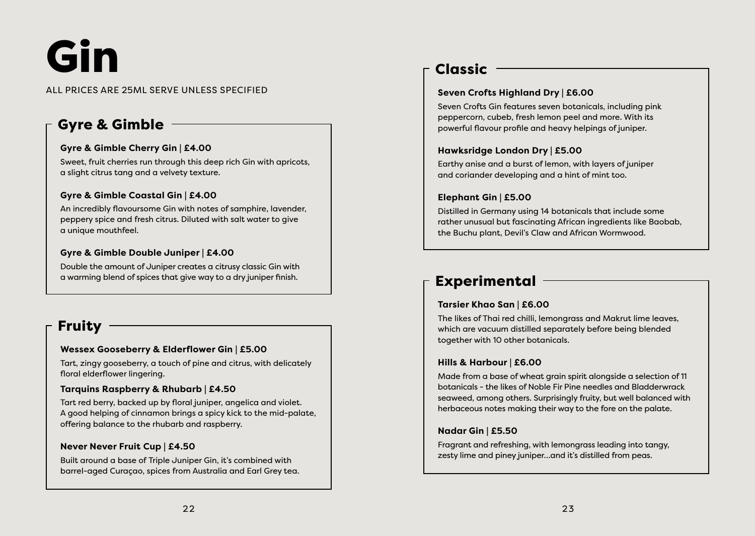# Gin

#### ALL PRICES ARE 25ML SERVE UNLESS SPECIFIED

## Gyre & Gimble

#### **Gyre & Gimble Cherry Gin | £4.00**

Sweet, fruit cherries run through this deep rich Gin with apricots, a slight citrus tang and a velvety texture.

#### **Gyre & Gimble Coastal Gin | £4.00**

An incredibly flavoursome Gin with notes of samphire, lavender, peppery spice and fresh citrus. Diluted with salt water to give a unique mouthfeel.

#### **Gyre & Gimble Double Juniper | £4.00**

Double the amount of Juniper creates a citrusy classic Gin with a warming blend of spices that give way to a dry juniper finish.

## Fruity

#### **Wessex Gooseberry & Elderflower Gin | £5.00**

Tart, zingy gooseberry, a touch of pine and citrus, with delicately floral elderflower lingering.

#### **Tarquins Raspberry & Rhubarb | £4.50**

Tart red berry, backed up by floral juniper, angelica and violet. A good helping of cinnamon brings a spicy kick to the mid-palate, offering balance to the rhubarb and raspberry.

#### **Never Never Fruit Cup | £4.50**

Built around a base of Triple Juniper Gin, it's combined with barrel-aged Curaçao, spices from Australia and Earl Grey tea.

## Classic

### **Seven Crofts Highland Dry | £6.00**

Seven Crofts Gin features seven botanicals, including pink peppercorn, cubeb, fresh lemon peel and more. With its powerful flavour profile and heavy helpings of juniper.

#### **Hawksridge London Dry | £5.00**

Earthy anise and a burst of lemon, with layers of juniper and coriander developing and a hint of mint too.

#### **Elephant Gin | £5.00**

Distilled in Germany using 14 botanicals that include some rather unusual but fascinating African ingredients like Baobab, the Buchu plant, Devil's Claw and African Wormwood.

## Experimental

#### **Tarsier Khao San | £6.00**

The likes of Thai red chilli, lemongrass and Makrut lime leaves, which are vacuum distilled separately before being blended together with 10 other botanicals.

#### **Hills & Harbour | £6.00**

Made from a base of wheat grain spirit alongside a selection of 11 botanicals - the likes of Noble Fir Pine needles and Bladderwrack seaweed, among others. Surprisingly fruity, but well balanced with herbaceous notes making their way to the fore on the palate.

#### **Nadar Gin | £5.50**

Fragrant and refreshing, with lemongrass leading into tangy, zesty lime and piney juniper…and it's distilled from peas.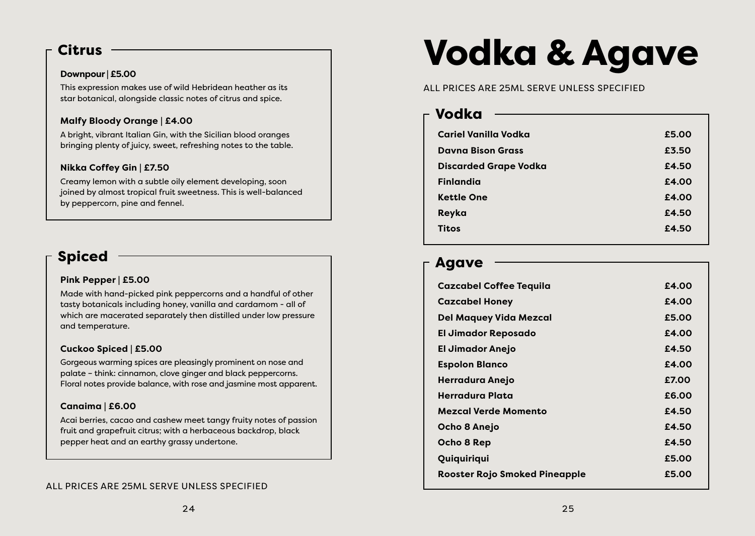## **Citrus**

#### **Downpour | £5.00**

This expression makes use of wild Hebridean heather as its star botanical, alongside classic notes of citrus and spice.

### **Malfy Bloody Orange | £4.00**

A bright, vibrant Italian Gin, with the Sicilian blood oranges bringing plenty of juicy, sweet, refreshing notes to the table.

### **Nikka Coffey Gin | £7.50**

Creamy lemon with a subtle oily element developing, soon joined by almost tropical fruit sweetness. This is well-balanced by peppercorn, pine and fennel.

## Spiced

### **Pink Pepper | £5.00**

Made with hand-picked pink peppercorns and a handful of other tasty botanicals including honey, vanilla and cardamom - all of which are macerated separately then distilled under low pressure and temperature.

#### **Cuckoo Spiced | £5.00**

Gorgeous warming spices are pleasingly prominent on nose and palate – think: cinnamon, clove ginger and black peppercorns. Floral notes provide balance, with rose and jasmine most apparent.

### **Canaima | £6.00**

Acai berries, cacao and cashew meet tangy fruity notes of passion fruit and grapefruit citrus; with a herbaceous backdrop, black pepper heat and an earthy grassy undertone.

## Vodka & Agave

ALL PRICES ARE 25ML SERVE UNLESS SPECIFIED

## Vodka

| Cariel Vanilla Vodka         | £5.00 |
|------------------------------|-------|
| <b>Davna Bison Grass</b>     | £3.50 |
| <b>Discarded Grape Vodka</b> | £4.50 |
| <b>Finlandia</b>             | £4.00 |
| <b>Kettle One</b>            | £4.00 |
| Reyka                        | £4.50 |
| <b>Titos</b>                 | £4.50 |
|                              |       |

## Agave

| <b>Cazcabel Coffee Tequila</b>       | £4.00 |
|--------------------------------------|-------|
| <b>Cazcabel Honey</b>                | £4.00 |
| <b>Del Maquey Vida Mezcal</b>        | £5.00 |
| El Jimador Reposado                  | £4.00 |
| <b>El Jimador Anejo</b>              | £4.50 |
| <b>Espolon Blanco</b>                | £4.00 |
| Herradura Anejo                      | £7.00 |
| Herradura Plata                      | £6.00 |
| <b>Mezcal Verde Momento</b>          | £4.50 |
| Ocho 8 Anejo                         | £4.50 |
| Ocho 8 Rep                           | £4.50 |
| Quiquiriqui                          | £5.00 |
| <b>Rooster Rojo Smoked Pineapple</b> | £5.00 |
|                                      |       |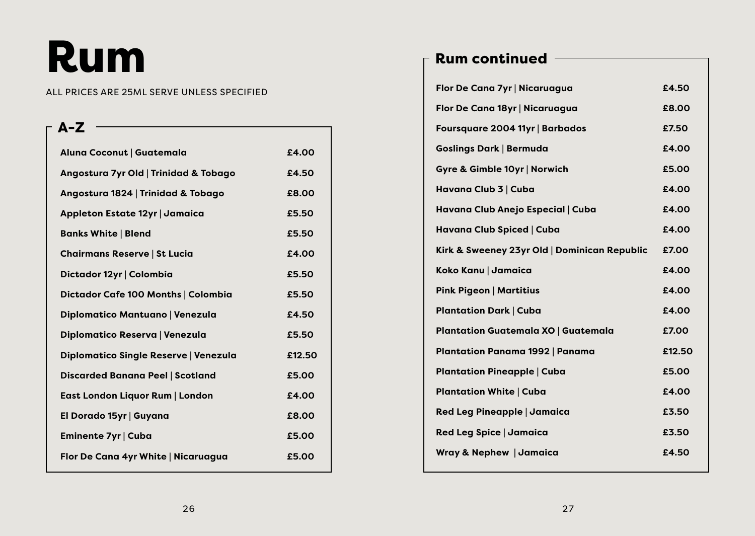# Rum

#### ALL PRICES ARE 25ML SERVE UNLESS SPECIFIED

## **Aluna Coconut | Guatemala £4.00 Angostura 7yr Old | Trinidad & Tobago £4.50 Angostura 1824 | Trinidad & Tobago £8.00 Appleton Estate 12yr | Jamaica £5.50 Banks White | Blend <b>E5.50 Chairmans Reserve | St Lucia £4.00 Dictador 12yr | Colombia £5.50 Dictador Cafe 100 Months | Colombia £5.50 Diplomatico Mantuano | Venezula £4.50 Diplomatico Reserva | Venezula £5.50 Diplomatico Single Reserve | Venezula £12.50 Discarded Banana Peel | Scotland £5.00 East London Liquor Rum | London £4.00 El Dorado 15yr | Guyana £8.00 Eminente 7yr | Cuba <b>Eminente 7yr** | Cuba **£5.00 Flor De Cana 4yr White | Nicaruagua £5.00** A-Z

## Rum continued

| Flor De Cana 7yr   Nicaruagua                | £4.50  |
|----------------------------------------------|--------|
| Flor De Cana 18yr   Nicaruagua               | £8.00  |
| Foursquare 2004 11yr   Barbados              | £7.50  |
| <b>Goslings Dark   Bermuda</b>               | £4.00  |
| Gyre & Gimble 10yr   Norwich                 | £5.00  |
| Havana Club 3   Cuba                         | £4.00  |
| Havana Club Anejo Especial   Cuba            | £4.00  |
| Havana Club Spiced   Cuba                    | £4.00  |
| Kirk & Sweeney 23yr Old   Dominican Republic | £7.00  |
| Koko Kanu   Jamaica                          | £4.00  |
| <b>Pink Pigeon   Martitius</b>               | £4.00  |
| <b>Plantation Dark   Cuba</b>                | £4.00  |
| <b>Plantation Guatemala XO   Guatemala</b>   | £7.00  |
| <b>Plantation Panama 1992   Panama</b>       | £12.50 |
| <b>Plantation Pineapple   Cuba</b>           | £5.00  |
| <b>Plantation White   Cuba</b>               | £4.00  |
| Red Leg Pineapple   Jamaica                  | £3.50  |
| Red Leg Spice   Jamaica                      | £3.50  |
| <b>Wray &amp; Nephew   Jamaica</b>           | £4.50  |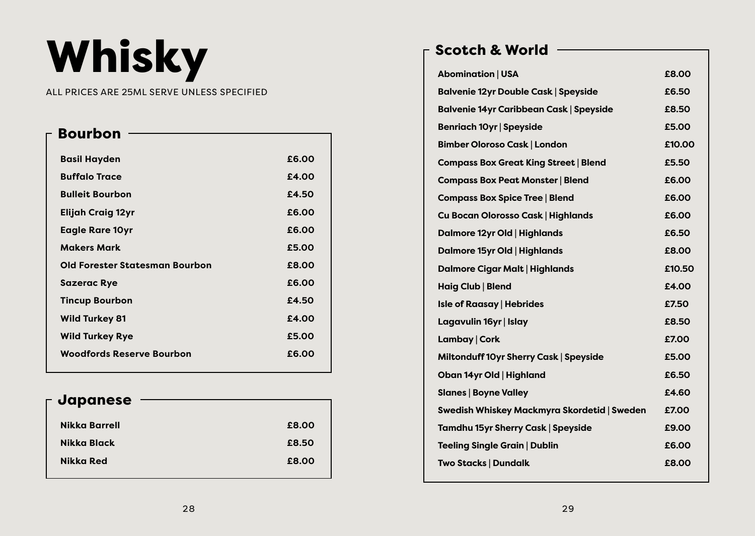# Whisky

### ALL PRICES ARE 25ML SERVE UNLESS SPECIFIED

| <b>Bourbon</b>                        |       |
|---------------------------------------|-------|
|                                       |       |
| <b>Basil Hayden</b>                   | £6.00 |
| <b>Buffalo Trace</b>                  | £4.00 |
| <b>Bulleit Bourbon</b>                | £4.50 |
| <b>Elijah Craig 12yr</b>              | £6.00 |
| <b>Eagle Rare 10yr</b>                | £6.00 |
| <b>Makers Mark</b>                    | £5.00 |
| <b>Old Forester Statesman Bourbon</b> | £8.00 |
| <b>Sazerac Rye</b>                    | £6.00 |
| <b>Tincup Bourbon</b>                 | £4.50 |
| <b>Wild Turkey 81</b>                 | £4.00 |
| <b>Wild Turkey Rye</b>                | £5.00 |
| <b>Woodfords Reserve Bourbon</b>      | £6.00 |
|                                       |       |

| £8.00 |
|-------|
| £8.50 |
| £8.00 |
|       |

## Scotch & World

| <b>Abomination   USA</b>                       | £8.00  |
|------------------------------------------------|--------|
| <b>Balvenie 12yr Double Cask   Speyside</b>    | £6.50  |
| <b>Balvenie 14yr Caribbean Cask   Speyside</b> | £8.50  |
| <b>Benriach 10yr   Speyside</b>                | £5.00  |
| <b>Bimber Oloroso Cask   London</b>            | £10.00 |
| <b>Compass Box Great King Street   Blend</b>   | £5.50  |
| <b>Compass Box Peat Monster   Blend</b>        | £6.00  |
| <b>Compass Box Spice Tree   Blend</b>          | £6.00  |
| Cu Bocan Olorosso Cask   Highlands             | £6.00  |
| Dalmore 12yr Old   Highlands                   | £6.50  |
| Dalmore 15yr Old   Highlands                   | £8.00  |
| <b>Dalmore Cigar Malt   Highlands</b>          | £10.50 |
| Haig Club   Blend                              | £4.00  |
| <b>Isle of Raasay   Hebrides</b>               | £7.50  |
| Lagavulin 16yr   Islay                         | £8.50  |
| Lambay   Cork                                  | £7.00  |
| Miltonduff 10yr Sherry Cask   Speyside         | £5.00  |
| Oban 14yr Old   Highland                       | £6.50  |
| <b>Slanes   Boyne Valley</b>                   | £4.60  |
| Swedish Whiskey Mackmyra Skordetid   Sweden    | £7.00  |
| Tamdhu 15yr Sherry Cask   Speyside             | £9.00  |
| <b>Teeling Single Grain   Dublin</b>           | £6.00  |
| Two Stacks   Dundalk                           | £8.00  |
|                                                |        |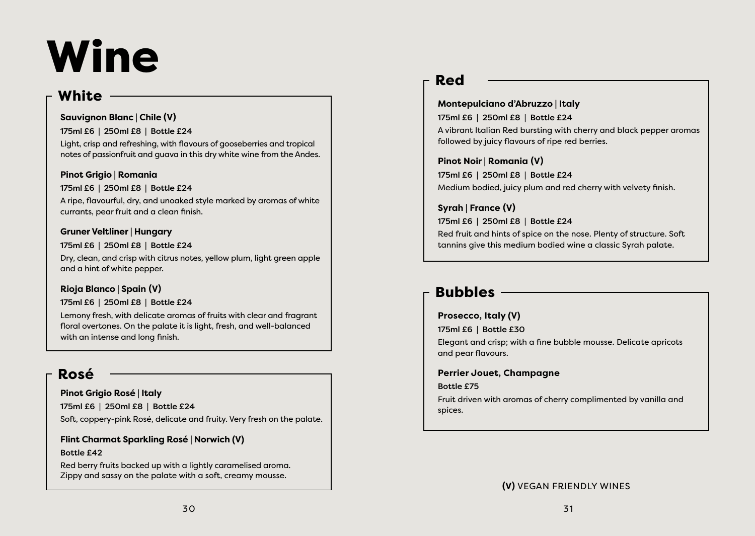# Wine

## **White**

### **Sauvignon Blanc | Chile (V)**

175ml £6 | 250ml £8 | Bottle £24

Light, crisp and refreshing, with flavours of gooseberries and tropical notes of passionfruit and guava in this dry white wine from the Andes.

## **Pinot Grigio | Romania**

## 175ml £6 | 250ml £8 | Bottle £24

A ripe, flavourful, dry, and unoaked style marked by aromas of white currants, pear fruit and a clean finish.

## **Gruner Veltliner | Hungary**

## 175ml £6 | 250ml £8 | Bottle £24

Dry, clean, and crisp with citrus notes, yellow plum, light green apple and a hint of white pepper.

## **Rioja Blanco | Spain (V)**

## 175ml £6 | 250ml £8 | Bottle £24

Lemony fresh, with delicate aromas of fruits with clear and fragrant floral overtones. On the palate it is light, fresh, and well-balanced with an intense and long finish.

## Ros**é**

## **Pinot Grigio Rosé | Italy**

175ml £6 | 250ml £8 | Bottle £24 Soft, coppery-pink Rosé, delicate and fruity. Very fresh on the palate.

## **Flint Charmat Sparkling Rosé | Norwich (V)**

## Bottle £42

Red berry fruits backed up with a lightly caramelised aroma. Zippy and sassy on the palate with a soft, creamy mousse.

## Red

## **Montepulciano d'Abruzzo | Italy**  175ml £6 | 250ml £8 | Bottle £24 A vibrant Italian Red bursting with cherry and black pepper aromas followed by juicy flavours of ripe red berries.

**Pinot Noir | Romania (V)** 175ml £6 | 250ml £8 | Bottle £24 Medium bodied, juicy plum and red cherry with velvety finish.

tannins give this medium bodied wine a classic Syrah palate.

**Syrah | France (V)** 175ml £6 | 250ml £8 | Bottle £24 Red fruit and hints of spice on the nose. Plenty of structure. Soft

## Bubbles

## **Prosecco, Italy (V)**

175ml £6 | Bottle £30

Elegant and crisp; with a fine bubble mousse. Delicate apricots and pear flavours.

**Perrier Jouet, Champagne** 

### Bottle £75

Fruit driven with aromas of cherry complimented by vanilla and spices.

**(V)** VEGAN FRIENDLY WINES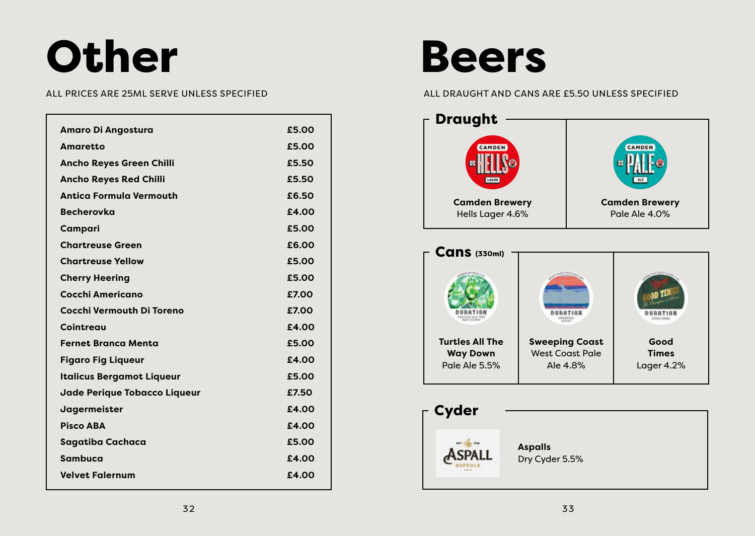# Other

| <b>Amaro Di Angostura</b>           | £5.00 |
|-------------------------------------|-------|
| Amaretto                            | £5.00 |
| <b>Ancho Reyes Green Chilli</b>     | £5.50 |
| <b>Ancho Reyes Red Chilli</b>       | £5.50 |
| <b>Antica Formula Vermouth</b>      | £6.50 |
| <b>Becherovka</b>                   | £4.00 |
| Campari                             | £5.00 |
| <b>Chartreuse Green</b>             | £6.00 |
| <b>Chartreuse Yellow</b>            | £5.00 |
| <b>Cherry Heering</b>               | £5.00 |
| Cocchi Americano                    | £7.00 |
| Cocchi Vermouth Di Toreno           | £7.00 |
| Cointreau                           | £4.00 |
| <b>Fernet Branca Menta</b>          | £5.00 |
| <b>Figaro Fig Liqueur</b>           | £4.00 |
| <b>Italicus Bergamot Liqueur</b>    | £5.00 |
| <b>Jade Perique Tobacco Liqueur</b> | £7.50 |
| Jagermeister                        | £4.00 |
| <b>Pisco ABA</b>                    | £4.00 |
| Sagatiba Cachaca                    | £5.00 |
| Sambuca                             | £4.00 |
| <b>Velvet Falernum</b>              | £4.00 |
|                                     |       |

## Beers

### ALL PRICES ARE 25ML SERVE UNLESS SPECIFIED ALL DRAUGHT AND CANS ARE £5.50 UNLESS SPECIFIED





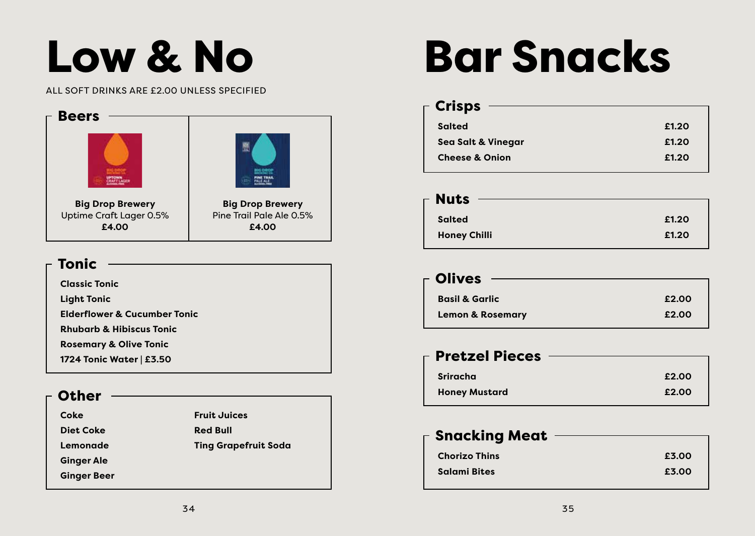# Low & No

#### ALL SOFT DRINKS ARE £2.00 UNLESS SPECIFIED



## Tonic

**Classic Tonic** 

**Light Tonic**

**Elderflower & Cucumber Tonic**

**Rhubarb & Hibiscus Tonic**

**Rosemary & Olive Tonic**

**1724 Tonic Water | £3.50**

## **Other**

| Coke |           |
|------|-----------|
|      | Diet Coke |

**Lemonade**

**Ginger Ale Ginger Beer**

**Fruit Juices Red Bull Ting Grapefruit Soda**

# Bar Snacks

| <b>Crisps</b>                 |       |
|-------------------------------|-------|
| <b>Salted</b>                 | £1.20 |
| <b>Sea Salt &amp; Vinegar</b> | £1.20 |
| <b>Cheese &amp; Onion</b>     | £1.20 |
|                               |       |

| $\mathsf{\Gamma}$ Olives    |       |
|-----------------------------|-------|
| <b>Basil &amp; Garlic</b>   | £2.00 |
| <b>Lemon &amp; Rosemary</b> | £2.00 |

## **Sriracha £2.00** Pretzel Pieces

| <b>Honey Mustard</b> | £2.00 |
|----------------------|-------|
|                      |       |

## **Chorizo Thins £3.00 Salami Bites £3.00 Snacking Meat -**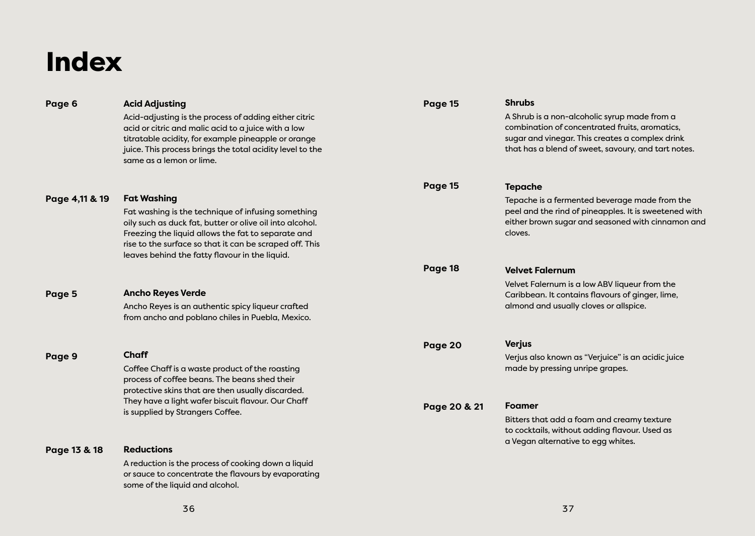## Index

| Page 6         | <b>Acid Adjusting</b>                                                                                                                                 | Page 15      | <b>Shrubs</b>                                                                                              |
|----------------|-------------------------------------------------------------------------------------------------------------------------------------------------------|--------------|------------------------------------------------------------------------------------------------------------|
|                | Acid-adjusting is the process of adding either citric<br>acid or citric and malic acid to a juice with a low                                          |              | A Shrub is a non-alcoholic syrup made from a<br>combination of concentrated fruits, aromatics,             |
|                | titratable acidity, for example pineapple or orange<br>juice. This process brings the total acidity level to the<br>same as a lemon or lime.          |              | sugar and vinegar. This creates a complex drink<br>that has a blend of sweet, savoury, and tart notes.     |
|                |                                                                                                                                                       | Page 15      | <b>Tepache</b>                                                                                             |
| Page 4,11 & 19 | <b>Fat Washing</b>                                                                                                                                    |              | Tepache is a fermented beverage made from the                                                              |
|                | Fat washing is the technique of infusing something<br>oily such as duck fat, butter or olive oil into alcohol.                                        |              | peel and the rind of pineapples. It is sweetened with<br>either brown sugar and seasoned with cinnamon and |
|                | Freezing the liquid allows the fat to separate and                                                                                                    |              | cloves.                                                                                                    |
|                | rise to the surface so that it can be scraped off. This<br>leaves behind the fatty flavour in the liquid.                                             |              |                                                                                                            |
|                |                                                                                                                                                       | Page 18      | <b>Velvet Falernum</b>                                                                                     |
|                |                                                                                                                                                       |              | Velvet Falernum is a low ABV liqueur from the                                                              |
| Page 5         | <b>Ancho Reyes Verde</b><br>Ancho Reyes is an authentic spicy liqueur crafted                                                                         |              | Caribbean. It contains flavours of ginger, lime,<br>almond and usually cloves or allspice.                 |
|                | from ancho and poblano chiles in Puebla, Mexico.                                                                                                      |              |                                                                                                            |
|                |                                                                                                                                                       | Page 20      | <b>Verjus</b>                                                                                              |
| Page 9         | <b>Chaff</b>                                                                                                                                          |              | Verjus also known as "Verjuice" is an acidic juice                                                         |
|                | Coffee Chaff is a waste product of the roasting<br>process of coffee beans. The beans shed their<br>protective skins that are then usually discarded. |              | made by pressing unripe grapes.                                                                            |
|                | They have a light wafer biscuit flavour. Our Chaff                                                                                                    | Page 20 & 21 | Foamer                                                                                                     |
|                | is supplied by Strangers Coffee.                                                                                                                      |              | Bitters that add a foam and creamy texture<br>to cocktails, without adding flavour. Used as                |
| Page 13 & 18   | <b>Reductions</b>                                                                                                                                     |              | a Vegan alternative to egg whites.                                                                         |
|                | A reduction is the process of cooking down a liquid                                                                                                   |              |                                                                                                            |
|                | or sauce to concentrate the flavours by evaporating<br>some of the liquid and alcohol.                                                                |              |                                                                                                            |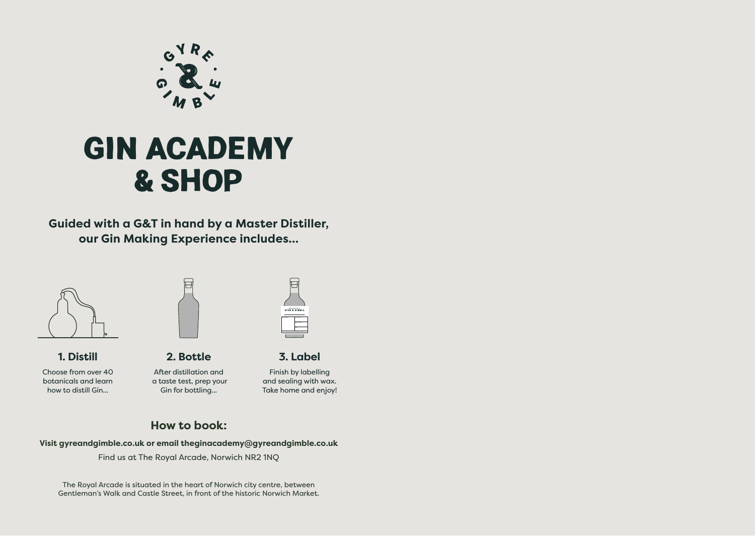

## **GIN ACADEMY & SHOP**

**Guided with a G&T in hand by a Master Distiller, our Gin Making Experience includes...** 



**1. Distill** Choose from over 40 botanicals and learn how to distill Gin...



**2. Bottle** After distillation and a taste test, prep your Gin for bottling...



**3. Label** Finish by labelling and sealing with wax.

Take home and enjoy!

## **How to book:**

**Visit gyreandgimble.co.uk or email theginacademy@gyreandgimble.co.uk**  Find us at The Royal Arcade, Norwich NR2 1NQ

The Royal Arcade is situated in the heart of Norwich city centre, between Gentleman's Walk and Castle Street, in front of the historic Norwich Market.